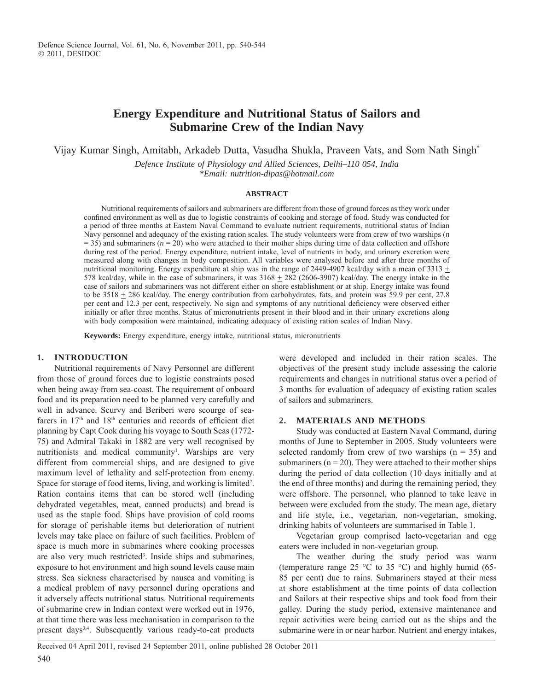# **Energy Expenditure and Nutritional Status of Sailors and Submarine Crew of the Indian Navy**

Vijay Kumar Singh, Amitabh, Arkadeb Dutta, Vasudha Shukla, Praveen Vats, and Som Nath Singh\*

*Defence Institute of Physiology and Allied Sciences, Delhi–110 054, India \*Email: nutrition-dipas@hotmail.com*

#### **ABSTRACT**

Nutritional requirements of sailors and submariners are different from those of ground forces as they work under confined environment as well as due to logistic constraints of cooking and storage of food. Study was conducted for a period of three months at Eastern Naval Command to evaluate nutrient requirements, nutritional status of Indian Navy personnel and adequacy of the existing ration scales. The study volunteers were from crew of two warships (*n*  $=$  35) and submariners ( $n = 20$ ) who were attached to their mother ships during time of data collection and offshore during rest of the period. Energy expenditure, nutrient intake, level of nutrients in body, and urinary excretion were measured along with changes in body composition. All variables were analysed before and after three months of nutritional monitoring. Energy expenditure at ship was in the range of 2449-4907 kcal/day with a mean of  $3313 \pm$ 578 kcal/day, while in the case of submariners, it was  $3168 \pm 282$  (2606-3907) kcal/day. The energy intake in the case of sailors and submariners was not different either on shore establishment or at ship. Energy intake was found to be  $3518 \pm 286$  kcal/day. The energy contribution from carbohydrates, fats, and protein was 59.9 per cent, 27.8 per cent and 12.3 per cent, respectively. No sign and symptoms of any nutritional deficiency were observed either initially or after three months. Status of micronutrients present in their blood and in their urinary excretions along with body composition were maintained, indicating adequacy of existing ration scales of Indian Navy.

**Keywords:** Energy expenditure, energy intake, nutritional status, micronutrients

#### **1. INTRODUCTION**

Nutritional requirements of Navy Personnel are different from those of ground forces due to logistic constraints posed when being away from sea-coast. The requirement of onboard food and its preparation need to be planned very carefully and well in advance. Scurvy and Beriberi were scourge of seafarers in 17<sup>th</sup> and 18<sup>th</sup> centuries and records of efficient diet planning by Capt Cook during his voyage to South Seas (1772- 75) and Admiral Takaki in 1882 are very well recognised by nutritionists and medical community<sup>1</sup>. Warships are very different from commercial ships, and are designed to give maximum level of lethality and self-protection from enemy. Space for storage of food items, living, and working is limited<sup>2</sup>. Ration contains items that can be stored well (including dehydrated vegetables, meat, canned products) and bread is used as the staple food. Ships have provision of cold rooms for storage of perishable items but deterioration of nutrient levels may take place on failure of such facilities. Problem of space is much more in submarines where cooking processes are also very much restricted<sup>3</sup>. Inside ships and submarines, exposure to hot environment and high sound levels cause main stress. Sea sickness characterised by nausea and vomiting is a medical problem of navy personnel during operations and it adversely affects nutritional status. Nutritional requirements of submarine crew in Indian context were worked out in 1976, at that time there was less mechanisation in comparison to the present days3,4. Subsequently various ready-to-eat products

were developed and included in their ration scales. The objectives of the present study include assessing the calorie requirements and changes in nutritional status over a period of 3 months for evaluation of adequacy of existing ration scales of sailors and submariners.

### **2. MATERIALS AND METHODS**

Study was conducted at Eastern Naval Command, during months of June to September in 2005. Study volunteers were selected randomly from crew of two warships  $(n = 35)$  and submariners ( $n = 20$ ). They were attached to their mother ships during the period of data collection (10 days initially and at the end of three months) and during the remaining period, they were offshore. The personnel, who planned to take leave in between were excluded from the study. The mean age, dietary and life style, i.e., vegetarian, non-vegetarian, smoking, drinking habits of volunteers are summarised in Table 1.

Vegetarian group comprised lacto-vegetarian and egg eaters were included in non-vegetarian group.

The weather during the study period was warm (temperature range 25  $\degree$ C to 35  $\degree$ C) and highly humid (65-85 per cent) due to rains. Submariners stayed at their mess at shore establishment at the time points of data collection and Sailors at their respective ships and took food from their galley. During the study period, extensive maintenance and repair activities were being carried out as the ships and the submarine were in or near harbor. Nutrient and energy intakes,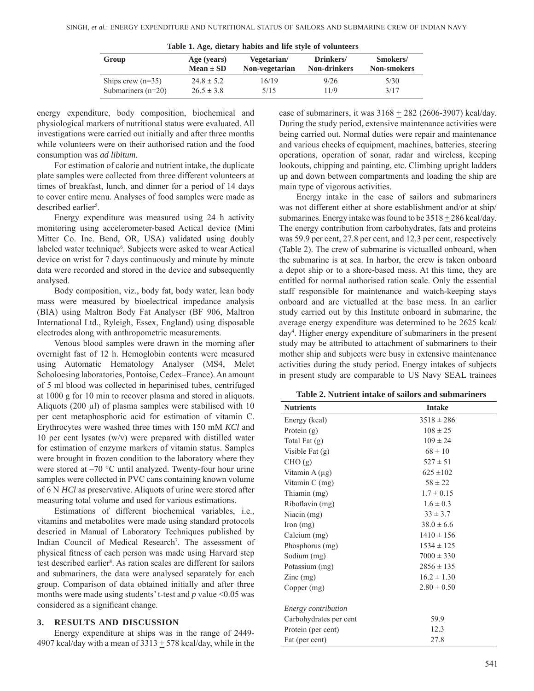| Table 1. Age, althity habits and the style of volunteers |                |                |                     |                    |  |  |  |  |
|----------------------------------------------------------|----------------|----------------|---------------------|--------------------|--|--|--|--|
| Group                                                    | Age (years)    | Vegetarian/    | Drinkers/           | Smokers/           |  |  |  |  |
|                                                          | $Mean \pm SD$  | Non-vegetarian | <b>Non-drinkers</b> | <b>Non-smokers</b> |  |  |  |  |
| Ships crew $(n=35)$                                      | $24.8 \pm 5.2$ | 16/19          | 9/26                | 5/30               |  |  |  |  |
| Submariners $(n=20)$                                     | $26.5 \pm 3.8$ | 5/15           | 11/9                | 3/17               |  |  |  |  |

| Table 1. Age, dietary habits and life style of volunteers |  |  |  |  |
|-----------------------------------------------------------|--|--|--|--|
|-----------------------------------------------------------|--|--|--|--|

energy expenditure, body composition, biochemical and physiological markers of nutritional status were evaluated. All investigations were carried out initially and after three months while volunteers were on their authorised ration and the food consumption was *ad libitum*.

For estimation of calorie and nutrient intake, the duplicate plate samples were collected from three different volunteers at times of breakfast, lunch, and dinner for a period of 14 days to cover entire menu. Analyses of food samples were made as described earlier<sup>5</sup>.

Energy expenditure was measured using 24 h activity monitoring using accelerometer-based Actical device (Mini Mitter Co. Inc. Bend, OR, USA) validated using doubly labeled water technique<sup>6</sup>. Subjects were asked to wear Actical device on wrist for 7 days continuously and minute by minute data were recorded and stored in the device and subsequently analysed.

Body composition, viz., body fat, body water, lean body mass were measured by bioelectrical impedance analysis (BIA) using Maltron Body Fat Analyser (BF 906, Maltron International Ltd., Ryleigh, Essex, England) using disposable electrodes along with anthropometric measurements.

Venous blood samples were drawn in the morning after overnight fast of 12 h. Hemoglobin contents were measured using Automatic Hematology Analyser (MS4, Melet Scholoesing laboratories, Pontoise, Cedex–France). An amount of 5 ml blood was collected in heparinised tubes, centrifuged at 1000 g for 10 min to recover plasma and stored in aliquots. Aliquots (200 µl) of plasma samples were stabilised with 10 per cent metaphosphoric acid for estimation of vitamin C. Erythrocytes were washed three times with 150 mM *KCl* and 10 per cent lysates (w/v) were prepared with distilled water for estimation of enzyme markers of vitamin status. Samples were brought in frozen condition to the laboratory where they were stored at  $-70$  °C until analyzed. Twenty-four hour urine samples were collected in PVC cans containing known volume of 6 N *HCl* as preservative. Aliquots of urine were stored after measuring total volume and used for various estimations.

Estimations of different biochemical variables, i.e., vitamins and metabolites were made using standard protocols descried in Manual of Laboratory Techniques published by Indian Council of Medical Research<sup>7</sup>. The assessment of physical fitness of each person was made using Harvard step test described earlier<sup>8</sup>. As ration scales are different for sailors and submariners, the data were analysed separately for each group. Comparison of data obtained initially and after three months were made using students' t-test and *p* value <0.05 was considered as a significant change.

#### **3. RESULTS AND DISCUSSION**

Energy expenditure at ships was in the range of 2449- 4907 kcal/day with a mean of  $3313 \pm 578$  kcal/day, while in the case of submariners, it was  $3168 + 282$  (2606-3907) kcal/day. During the study period, extensive maintenance activities were being carried out. Normal duties were repair and maintenance and various checks of equipment, machines, batteries, steering operations, operation of sonar, radar and wireless, keeping lookouts, chipping and painting, etc. Climbing upright ladders up and down between compartments and loading the ship are main type of vigorous activities.

Energy intake in the case of sailors and submariners was not different either at shore establishment and/or at ship/ submarines. Energy intake was found to be  $3518 + 286$  kcal/day. The energy contribution from carbohydrates, fats and proteins was 59.9 per cent, 27.8 per cent, and 12.3 per cent, respectively (Table 2). The crew of submarine is victualled onboard, when the submarine is at sea. In harbor, the crew is taken onboard a depot ship or to a shore-based mess. At this time, they are entitled for normal authorised ration scale. Only the essential staff responsible for maintenance and watch-keeping stays onboard and are victualled at the base mess. In an earlier study carried out by this Institute onboard in submarine, the average energy expenditure was determined to be 2625 kcal/ day4 . Higher energy expenditure of submariners in the present study may be attributed to attachment of submariners to their mother ship and subjects were busy in extensive maintenance activities during the study period. Energy intakes of subjects in present study are comparable to US Navy SEAL trainees

| <b>Nutrients</b>                       | <b>Intake</b>   |
|----------------------------------------|-----------------|
| Energy (kcal)                          | $3518 \pm 286$  |
| Protein $(g)$                          | $108 \pm 25$    |
| Total Fat $(g)$                        | $109 \pm 24$    |
| Visible Fat $(g)$                      | $68 \pm 10$     |
| CHO(g)                                 | $527 \pm 51$    |
| Vitamin A $(\mu g)$                    | $625 \pm 102$   |
| Vitamin C (mg)                         | $58 \pm 22$     |
| Thiamin (mg)                           | $1.7 \pm 0.15$  |
| Riboflavin (mg)                        | $1.6 \pm 0.3$   |
| Niacin $(mg)$                          | $33 \pm 3.7$    |
| $\Gamma$ Iron $(mg)$                   | $38.0 \pm 6.6$  |
| Calcium (mg)                           | $1410 \pm 156$  |
| Phosphorus (mg)                        | $1534 \pm 125$  |
| Sodium (mg)                            | $7000 \pm 330$  |
| Potassium (mg)                         | $2856 \pm 135$  |
| $\text{Zinc} \left( \text{mg} \right)$ | $16.2 \pm 1.30$ |
| Copper (mg)                            | $2.80 \pm 0.50$ |
|                                        |                 |
| Energy contribution                    |                 |
| Carbohydrates per cent                 | 59.9            |
| Protein (per cent)                     | 12.3            |
| Fat (per cent)                         | 27.8            |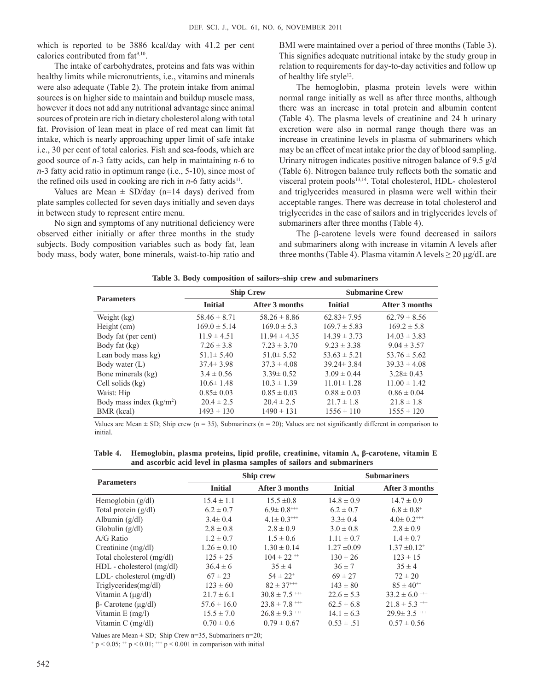which is reported to be 3886 kcal/day with 41.2 per cent calories contributed from fat<sup>9,10</sup>.

The intake of carbohydrates, proteins and fats was within healthy limits while micronutrients, i.e., vitamins and minerals were also adequate (Table 2). The protein intake from animal sources is on higher side to maintain and buildup muscle mass, however it does not add any nutritional advantage since animal sources of protein are rich in dietary cholesterol along with total fat. Provision of lean meat in place of red meat can limit fat intake, which is nearly approaching upper limit of safe intake i.e., 30 per cent of total calories. Fish and sea-foods, which are good source of *n*-3 fatty acids, can help in maintaining *n*-6 to *n*-3 fatty acid ratio in optimum range (i.e., 5-10), since most of the refined oils used in cooking are rich in  $n-6$  fatty acids<sup>11</sup>.

Values are Mean  $\pm$  SD/day (n=14 days) derived from plate samples collected for seven days initially and seven days in between study to represent entire menu.

No sign and symptoms of any nutritional deficiency were observed either initially or after three months in the study subjects. Body composition variables such as body fat, lean body mass, body water, bone minerals, waist-to-hip ratio and

BMI were maintained over a period of three months (Table 3). This signifies adequate nutritional intake by the study group in relation to requirements for day-to-day activities and follow up of healthy life style<sup>12</sup>.

The hemoglobin, plasma protein levels were within normal range initially as well as after three months, although there was an increase in total protein and albumin content (Table 4). The plasma levels of creatinine and 24 h urinary excretion were also in normal range though there was an increase in creatinine levels in plasma of submariners which may be an effect of meat intake prior the day of blood sampling. Urinary nitrogen indicates positive nitrogen balance of 9.5 g/d (Table 6). Nitrogen balance truly reflects both the somatic and visceral protein pools<sup>13,14</sup>. Total cholesterol, HDL- cholesterol and triglycerides measured in plasma were well within their acceptable ranges. There was decrease in total cholesterol and triglycerides in the case of sailors and in triglycerides levels of submariners after three months (Table 4).

The β-carotene levels were found decreased in sailors and submariners along with increase in vitamin A levels after three months (Table 4). Plasma vitamin A levels  $\geq 20 \mu g/dL$  are

|                           |                  | <b>Ship Crew</b> | <b>Submarine Crew</b> |                  |  |  |
|---------------------------|------------------|------------------|-----------------------|------------------|--|--|
| <b>Parameters</b>         | <b>Initial</b>   | After 3 months   | <b>Initial</b>        | After 3 months   |  |  |
| Weight (kg)               | $58.46 \pm 8.71$ | $58.26 \pm 8.86$ | $62.83 \pm 7.95$      | $62.79 \pm 8.56$ |  |  |
| Height (cm)               | $169.0 \pm 5.14$ | $169.0 \pm 5.3$  | $169.7 \pm 5.83$      | $169.2 \pm 5.8$  |  |  |
| Body fat (per cent)       | $11.9 \pm 4.51$  | $11.94 \pm 4.35$ | $14.39 \pm 3.73$      | $14.03 \pm 3.83$ |  |  |
| Body fat (kg)             | $7.26 \pm 3.8$   | $7.23 \pm 3.70$  | $9.23 \pm 3.38$       | $9.04 \pm 3.57$  |  |  |
| Lean body mass kg)        | $51.1 \pm 5.40$  | $51.0 \pm 5.52$  | $53.63 \pm 5.21$      | $53.76 \pm 5.62$ |  |  |
| Body water (L)            | $37.4 \pm 3.98$  | $37.3 \pm 4.08$  | $39.24 \pm 3.84$      | $39.33 \pm 4.08$ |  |  |
| Bone minerals (kg)        | $3.4 \pm 0.56$   | $3.39 \pm 0.52$  | $3.09 \pm 0.44$       | $3.28 \pm 0.43$  |  |  |
| Cell solids (kg)          | $10.6 \pm 1.48$  | $10.3 \pm 1.39$  | $11.01 \pm 1.28$      | $11.00 \pm 1.42$ |  |  |
| Waist: Hip                | $0.85 \pm 0.03$  | $0.85 \pm 0.03$  | $0.88 \pm 0.03$       | $0.86 \pm 0.04$  |  |  |
| Body mass index $(kg/m2)$ | $20.4 \pm 2.5$   | $20.4 \pm 2.5$   | $21.7 \pm 1.8$        | $21.8 \pm 1.8$   |  |  |
| BMR (kcal)                | $1493 \pm 130$   | $1490 \pm 131$   | $1556 \pm 110$        | $1555 \pm 120$   |  |  |

**Table 3. Body composition of sailors–ship crew and submariners**

Values are Mean  $\pm$  SD; Ship crew (n = 35), Submariners (n = 20); Values are not significantly different in comparison to initial.

**Table 4. Hemoglobin, plasma proteins, lipid profile, creatinine, vitamin A, β-carotene, vitamin E and ascorbic acid level in plasma samples of sailors and submariners**

| <b>Parameters</b>                |                 | Ship crew                     |                 | <b>Submariners</b>           |  |  |  |
|----------------------------------|-----------------|-------------------------------|-----------------|------------------------------|--|--|--|
|                                  | <b>Initial</b>  | <b>After 3 months</b>         | <b>Initial</b>  | After 3 months               |  |  |  |
| Hemoglobin $(g/dl)$              | $15.4 \pm 1.1$  | $15.5 \pm 0.8$                | $14.8 \pm 0.9$  | $14.7 \pm 0.9$               |  |  |  |
| Total protein $(g/dl)$           | $6.2 \pm 0.7$   | $6.9 \pm 0.8$ <sup>***</sup>  | $6.2 \pm 0.7$   | $6.8 \pm 0.8^+$              |  |  |  |
| Albumin $(g/dl)$                 | $3.4 \pm 0.4$   | $4.1 \pm 0.3^{++}$            | $3.3 \pm 0.4$   | $4.0 \pm 0.2$ <sup>***</sup> |  |  |  |
| Globulin $(g/dl)$                | $2.8 \pm 0.8$   | $2.8 \pm 0.9$                 | $3.0 \pm 0.8$   | $2.8 \pm 0.9$                |  |  |  |
| $A/G$ Ratio                      | $1.2 \pm 0.7$   | $1.5 \pm 0.6$                 | $1.11 \pm 0.7$  | $1.4 \pm 0.7$                |  |  |  |
| Creatinine $(mg/dl)$             | $1.26 \pm 0.10$ | $1.30 \pm 0.14$               | $1.27 \pm 0.09$ | $1.37 \pm 0.12$ <sup>+</sup> |  |  |  |
| Total cholesterol (mg/dl)        | $125 \pm 25$    | $104 \pm 22$ <sup>++</sup>    | $130 \pm 26$    | $123 \pm 15$                 |  |  |  |
| HDL - cholesterol (mg/dl)        | $36.4 \pm 6$    | $35 \pm 4$                    | $36 \pm 7$      | $35 \pm 4$                   |  |  |  |
| LDL-cholesterol $(mg/dl)$        | $67 \pm 23$     | $54 \pm 22^{+}$               | $69 \pm 27$     | $72 \pm 20$                  |  |  |  |
| Triglycerides(mg/dl)             | $123 \pm 60$    | $82 \pm 37^{++}$              | $143 \pm 80$    | $85 \pm 40^{++}$             |  |  |  |
| Vitamin A $(\mu$ g/dl)           | $21.7 \pm 6.1$  | $30.8 \pm 7.5$ ***            | $22.6 \pm 5.3$  | $33.2 \pm 6.0$ ***           |  |  |  |
| $\beta$ - Carotene ( $\mu$ g/dl) | $57.6 \pm 16.0$ | $23.8 \pm 7.8$ <sup>***</sup> | $62.5 \pm 6.8$  | $21.8 \pm 5.3$ ***           |  |  |  |
| Vitamin $E$ (mg/l)               | $15.5 \pm 7.0$  | $26.8 \pm 9.3$ <sup>+++</sup> | $14.1 \pm 6.3$  | $29.9 \pm 3.5$ ***           |  |  |  |
| Vitamin C (mg/dl)                | $0.70 \pm 0.6$  | $0.79 \pm 0.67$               | $0.53 \pm .51$  | $0.57 \pm 0.56$              |  |  |  |

Values are Mean  $\pm$  SD; Ship Crew n=35, Submariners n=20;

 $+p < 0.05$ ;  $+p < 0.01$ ;  $+p < 0.001$  in comparison with initial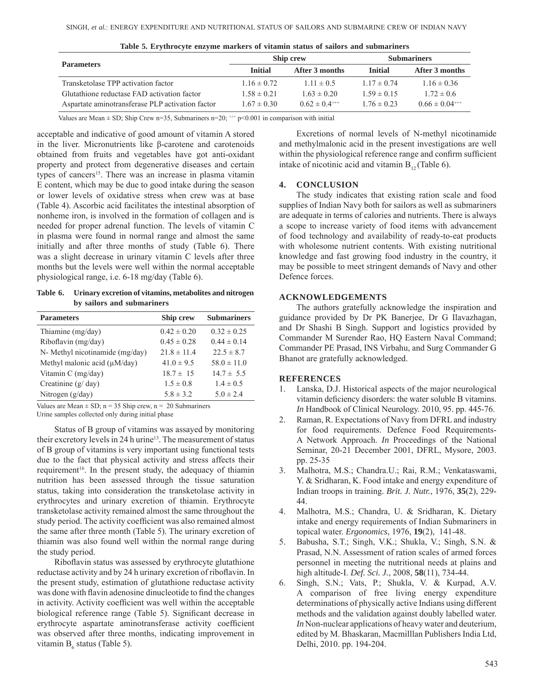| <b>Parameters</b>                                |                 | <b>Ship crew</b>    | <b>Submariners</b> |                      |  |
|--------------------------------------------------|-----------------|---------------------|--------------------|----------------------|--|
|                                                  | <b>Initial</b>  | After 3 months      | <b>Initial</b>     | After 3 months       |  |
| Transketolase TPP activation factor              | $1.16 \pm 0.72$ | $1.11 \pm 0.5$      | $1.17 \pm 0.74$    | $1.16 \pm 0.36$      |  |
| Glutathione reductase FAD activation factor      | $1.58 \pm 0.21$ | $1.63 \pm 0.20$     | $1.59 \pm 0.15$    | $1.72 \pm 0.6$       |  |
| Aspartate aminotransferase PLP activation factor | $1.67 \pm 0.30$ | $0.62 \pm 0.4^{++}$ | $1.76 \pm 0.23$    | $0.66 \pm 0.04^{++}$ |  |

|  | Table 5. Erythrocyte enzyme markers of vitamin status of sailors and submariners |  |  |  |  |  |  |  |  |  |
|--|----------------------------------------------------------------------------------|--|--|--|--|--|--|--|--|--|
|--|----------------------------------------------------------------------------------|--|--|--|--|--|--|--|--|--|

Values are Mean  $\pm$  SD; Ship Crew n=35, Submariners n=20;  $^{++}$  p<0.001 in comparison with initial

acceptable and indicative of good amount of vitamin A stored in the liver. Micronutrients like β-carotene and carotenoids obtained from fruits and vegetables have got anti-oxidant property and protect from degenerative diseases and certain types of cancers<sup>15</sup>. There was an increase in plasma vitamin E content, which may be due to good intake during the season or lower levels of oxidative stress when crew was at base (Table 4). Ascorbic acid facilitates the intestinal absorption of nonheme iron, is involved in the formation of collagen and is needed for proper adrenal function. The levels of vitamin C in plasma were found in normal range and almost the same initially and after three months of study (Table 6). There was a slight decrease in urinary vitamin C levels after three months but the levels were well within the normal acceptable physiological range, i.e. 6-18 mg/day (Table 6).

**Table 6. Urinary excretion of vitamins, metabolites and nitrogen by sailors and submariners**

| <b>Parameters</b>                 | Ship crew       | <b>Submariners</b> |  |  |
|-----------------------------------|-----------------|--------------------|--|--|
| Thiamine (mg/day)                 | $0.42 \pm 0.20$ | $0.32 \pm 0.25$    |  |  |
| Riboflavin (mg/day)               | $0.45 \pm 0.28$ | $0.44 \pm 0.14$    |  |  |
| N- Methyl nicotinamide (mg/day)   | $21.8 \pm 11.4$ | $22.5 \pm 8.7$     |  |  |
| Methyl malonic acid $(\mu M/day)$ | $41.0 \pm 9.5$  | $58.0 \pm 11.0$    |  |  |
| Vitamin $C$ (mg/day)              | $18.7 \pm 15$   | $14.7 \pm 5.5$     |  |  |
| Creatinine (g/ day)               | $1.5 \pm 0.8$   | $1.4 \pm 0.5$      |  |  |
| Nitrogen $(g/day)$                | $5.8 \pm 3.2$   | $5.0 \pm 2.4$      |  |  |

Values are Mean  $\pm$  SD; n = 35 Ship crew, n = 20 Submariners

Urine samples collected only during initial phase

Status of B group of vitamins was assayed by monitoring their excretory levels in 24 h urine<sup>13</sup>. The measurement of status of B group of vitamins is very important using functional tests due to the fact that physical activity and stress affects their requirement<sup>16</sup>. In the present study, the adequacy of thiamin nutrition has been assessed through the tissue saturation status, taking into consideration the transketolase activity in erythrocytes and urinary excretion of thiamin. Erythrocyte transketolase activity remained almost the same throughout the study period. The activity coefficient was also remained almost the same after three month (Table 5). The urinary excretion of thiamin was also found well within the normal range during the study period.

Riboflavin status was assessed by erythrocyte glutathione reductase activity and by 24 h urinary excretion of riboflavin. In the present study, estimation of glutathione reductase activity was done with flavin adenosine dinucleotide to find the changes in activity. Activity coefficient was well within the acceptable biological reference range (Table 5). Significant decrease in erythrocyte aspartate aminotransferase activity coefficient was observed after three months, indicating improvement in vitamin  $B_6$  status (Table 5).

Excretions of normal levels of N-methyl nicotinamide and methylmalonic acid in the present investigations are well within the physiological reference range and confirm sufficient intake of nicotinic acid and vitamin  $B_{12}$  (Table 6).

# **4. CONCLUSION**

The study indicates that existing ration scale and food supplies of Indian Navy both for sailors as well as submariners are adequate in terms of calories and nutrients. There is always a scope to increase variety of food items with advancement of food technology and availability of ready-to-eat products with wholesome nutrient contents. With existing nutritional knowledge and fast growing food industry in the country, it may be possible to meet stringent demands of Navy and other Defence forces.

## **ACKNOWLEDGEMENTS**

The authors gratefully acknowledge the inspiration and guidance provided by Dr PK Banerjee, Dr G Ilavazhagan, and Dr Shashi B Singh. Support and logistics provided by Commander M Surender Rao, HQ Eastern Naval Command; Commander PE Prasad, INS Virbahu, and Surg Commander G Bhanot are gratefully acknowledged.

# **REFERENCES**

- 1. Lanska, D.J. Historical aspects of the major neurological vitamin deficiency disorders: the water soluble B vitamins. *In* Handbook of Clinical Neurology. 2010, 95. pp. 445-76.
- 2. Raman, R. Expectations of Navy from DFRL and industry for food requirements. Defence Food Requirements-A Network Approach. *In* Proceedings of the National Seminar, 20-21 December 2001, DFRL, Mysore, 2003. pp. 25-35
- 3. Malhotra, M.S.; Chandra.U.; Rai, R.M.; Venkataswami, Y. & Sridharan, K. Food intake and energy expenditure of Indian troops in training. *Brit. J. Nutr.*, 1976, **35**(2), 229- 44.
- 4. Malhotra, M.S.; Chandra, U. & Sridharan, K. Dietary intake and energy requirements of Indian Submariners in topical water. *Ergonomics*, 1976, **19**(2), 141-48.
- 5. Babusha, S.T.; Singh, V.K.; Shukla, V.; Singh, S.N. & Prasad, N.N. Assessment of ration scales of armed forces personnel in meeting the nutritional needs at plains and high altitude-I. *Def. Sci. J.*, 2008, **58**(11), 734-44.
- 6. Singh, S.N.; Vats, P.; Shukla, V. & Kurpad, A.V. A comparison of free living energy expenditure determinations of physically active Indians using different methods and the validation against doubly labelled water. *In* Non-nuclear applications of heavy water and deuterium, edited by M. Bhaskaran, Macmilllan Publishers India Ltd, Delhi, 2010. pp. 194-204.